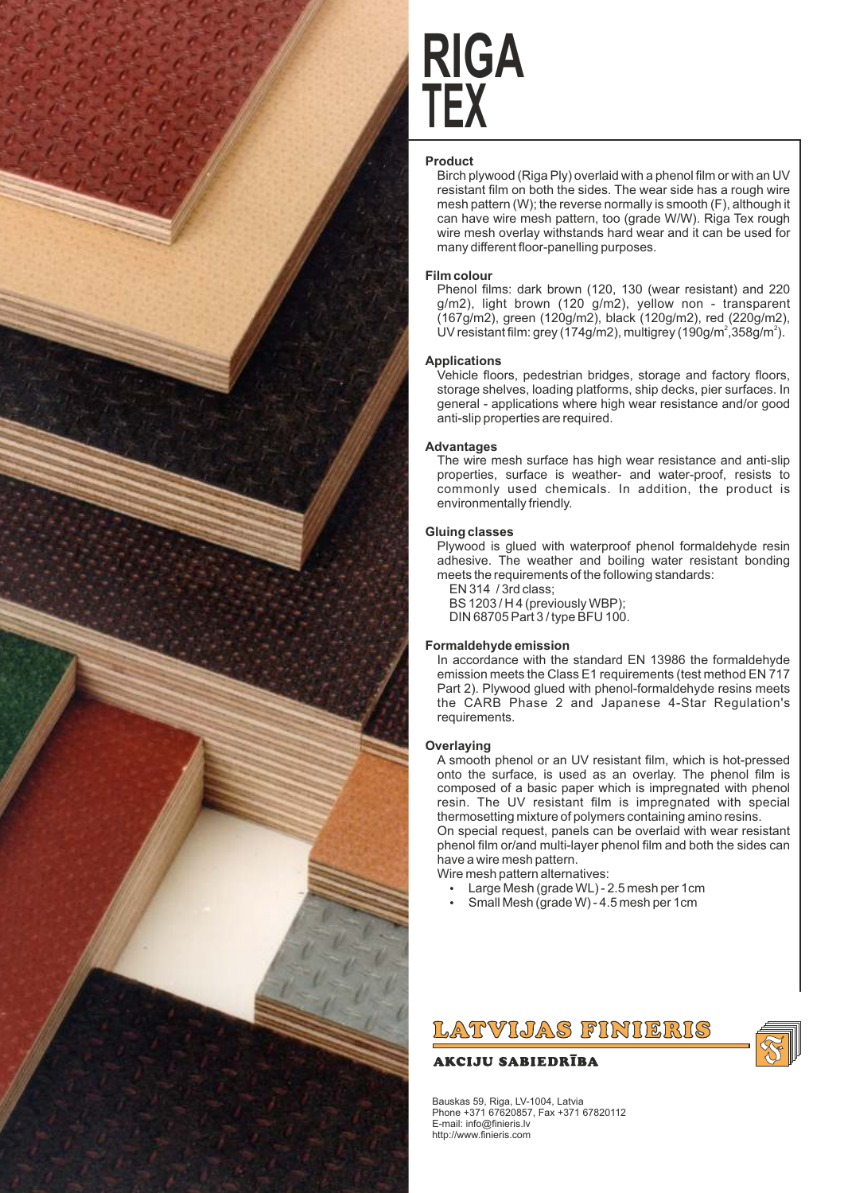

# **TEX RIGA**

## **Product**

Birch plywood (Riga Ply) overlaid with a phenol film or with an UV resistant film on both the sides. The wear side has a rough wire mesh pattern (W); the reverse normally is smooth (F), although it can have wire mesh pattern, too (grade W/W). Riga Tex rough wire mesh overlay withstands hard wear and it can be used for many different floor-panelling purposes.

### **Film colour**

Phenol films: dark brown (120, 130 (wear resistant) and 220 g/m2), light brown (120 g/m2), yellow non - transparent (167g/m2), green (120g/m2), black (120g/m2), red (220g/m2), UV resistant film: grey (174g/m2), multigrey (190g/m<sup>2</sup>,358g/m<sup>2</sup>).

#### **Applications**

Vehicle floors, pedestrian bridges, storage and factory floors, storage shelves, loading platforms, ship decks, pier surfaces. In general - applications where high wear resistance and/or good anti-slip properties are required.

## **Advantages**

The wire mesh surface has high wear resistance and anti-slip properties, surface is weather- and water-proof, resists to commonly used chemicals. In addition, the product is environmentally friendly.

### **Gluing classes**

Plywood is glued with waterproof phenol formaldehyde resin adhesive. The weather and boiling water resistant bonding meets the requirements of the following standards:

EN 314 / 3rd class; BS 1203 / H 4 (previously WBP);

DIN 68705 Part 3 / type BFU 100.

## **Formaldehyde emission**

In accordance with the standard EN 13986 the formaldehyde emission meets the Class E1 requirements (test method EN 717 Part 2). Plywood glued with phenol-formaldehyde resins meets the CARB Phase 2 and Japanese 4-Star Regulation's requirements.

## **Overlaying**

A smooth phenol or an UV resistant film, which is hot-pressed onto the surface, is used as an overlay. The phenol film is composed of a basic paper which is impregnated with phenol resin. The UV resistant film is impregnated with special thermosetting mixture of polymers containing amino resins. On special request, panels can be overlaid with wear resistant phenol film or/and multi-layer phenol film and both the sides can have a wire mesh pattern.

Wire mesh pattern alternatives:

- Large Mesh (grade WL) 2.5 mesh per 1cm
- Small Mesh (grade W) 4.5 mesh per 1cm



## **AKCIJU SABIEDRĪBA**

Bauskas 59, Riga, LV-1004, Latvia Phone +371 67620857, Fax +371 67820112 E-mail: info@finieris.lv http://www.finieris.com